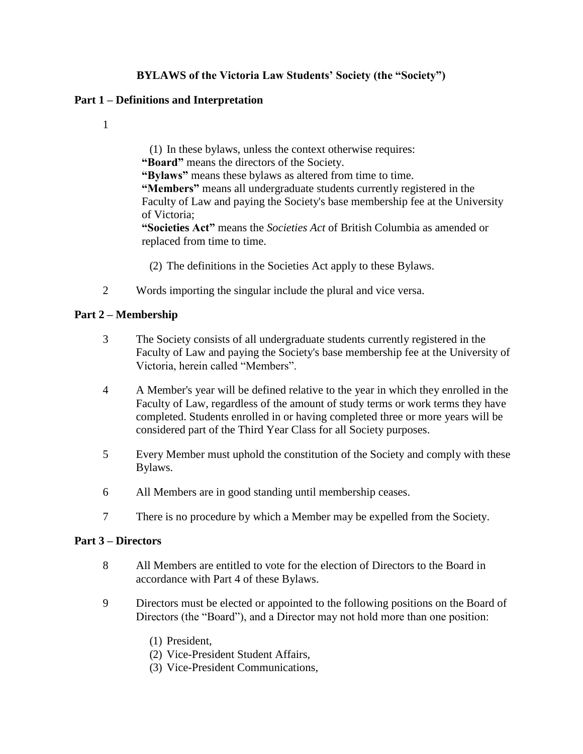# **BYLAWS of the Victoria Law Students' Society (the "Society")**

### **Part 1 – Definitions and Interpretation**

1

(1) In these bylaws, unless the context otherwise requires: **"Board"** means the directors of the Society. **"Bylaws"** means these bylaws as altered from time to time. **"Members"** means all undergraduate students currently registered in the Faculty of Law and paying the Society's base membership fee at the University of Victoria; **"Societies Act"** means the *Societies Act* of British Columbia as amended or replaced from time to time.

(2) The definitions in the Societies Act apply to these Bylaws.

2 Words importing the singular include the plural and vice versa.

### **Part 2 – Membership**

- 3 The Society consists of all undergraduate students currently registered in the Faculty of Law and paying the Society's base membership fee at the University of Victoria, herein called "Members".
- 4 A Member's year will be defined relative to the year in which they enrolled in the Faculty of Law, regardless of the amount of study terms or work terms they have completed. Students enrolled in or having completed three or more years will be considered part of the Third Year Class for all Society purposes.
- 5 Every Member must uphold the constitution of the Society and comply with these Bylaws.
- 6 All Members are in good standing until membership ceases.
- 7 There is no procedure by which a Member may be expelled from the Society.

### **Part 3 – Directors**

- 8 All Members are entitled to vote for the election of Directors to the Board in accordance with Part 4 of these Bylaws.
- 9 Directors must be elected or appointed to the following positions on the Board of Directors (the "Board"), and a Director may not hold more than one position:
	- (1) President,
	- (2) Vice-President Student Affairs,
	- (3) Vice-President Communications,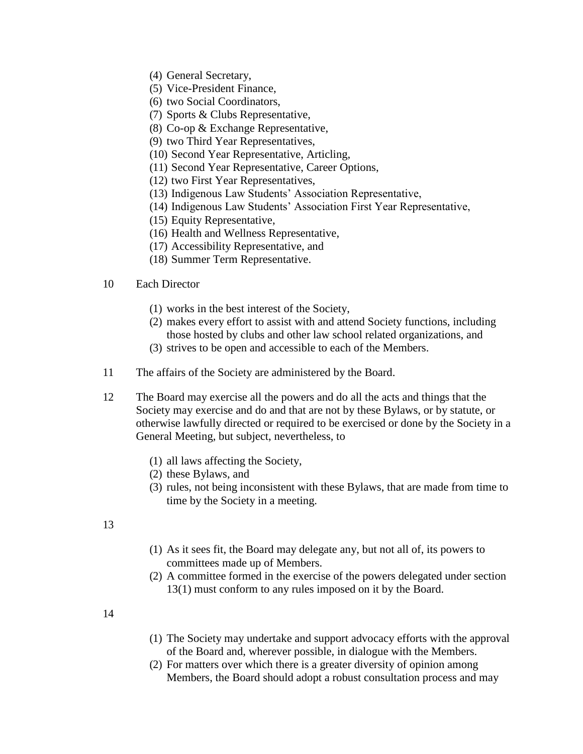- (4) General Secretary,
- (5) Vice-President Finance,
- (6) two Social Coordinators,
- (7) Sports & Clubs Representative,
- (8) Co-op & Exchange Representative,
- (9) two Third Year Representatives,
- (10) Second Year Representative, Articling,
- (11) Second Year Representative, Career Options,
- (12) two First Year Representatives,
- (13) Indigenous Law Students' Association Representative,
- (14) Indigenous Law Students' Association First Year Representative,
- (15) Equity Representative,
- (16) Health and Wellness Representative,
- (17) Accessibility Representative, and
- (18) Summer Term Representative.

#### 10 Each Director

- (1) works in the best interest of the Society,
- (2) makes every effort to assist with and attend Society functions, including those hosted by clubs and other law school related organizations, and
- (3) strives to be open and accessible to each of the Members.
- 11 The affairs of the Society are administered by the Board.
- 12 The Board may exercise all the powers and do all the acts and things that the Society may exercise and do and that are not by these Bylaws, or by statute, or otherwise lawfully directed or required to be exercised or done by the Society in a General Meeting, but subject, nevertheless, to
	- (1) all laws affecting the Society,
	- (2) these Bylaws, and
	- (3) rules, not being inconsistent with these Bylaws, that are made from time to time by the Society in a meeting.
- 13
- (1) As it sees fit, the Board may delegate any, but not all of, its powers to committees made up of Members.
- (2) A committee formed in the exercise of the powers delegated under section 13(1) must conform to any rules imposed on it by the Board.
- 14
- (1) The Society may undertake and support advocacy efforts with the approval of the Board and, wherever possible, in dialogue with the Members.
- (2) For matters over which there is a greater diversity of opinion among Members, the Board should adopt a robust consultation process and may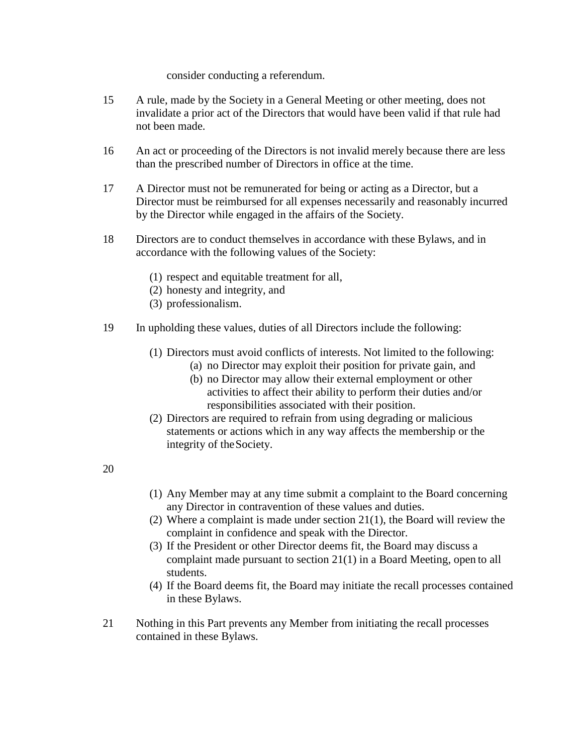consider conducting a referendum.

- 15 A rule, made by the Society in a General Meeting or other meeting, does not invalidate a prior act of the Directors that would have been valid if that rule had not been made.
- 16 An act or proceeding of the Directors is not invalid merely because there are less than the prescribed number of Directors in office at the time.
- 17 A Director must not be remunerated for being or acting as a Director, but a Director must be reimbursed for all expenses necessarily and reasonably incurred by the Director while engaged in the affairs of the Society.
- 18 Directors are to conduct themselves in accordance with these Bylaws, and in accordance with the following values of the Society:
	- (1) respect and equitable treatment for all,
	- (2) honesty and integrity, and
	- (3) professionalism.
- 19 In upholding these values, duties of all Directors include the following:
	- (1) Directors must avoid conflicts of interests. Not limited to the following:
		- (a) no Director may exploit their position for private gain, and
		- (b) no Director may allow their external employment or other activities to affect their ability to perform their duties and/or responsibilities associated with their position.
	- (2) Directors are required to refrain from using degrading or malicious statements or actions which in any way affects the membership or the integrity of theSociety.

20

- (1) Any Member may at any time submit a complaint to the Board concerning any Director in contravention of these values and duties.
- (2) Where a complaint is made under section 21(1), the Board will review the complaint in confidence and speak with the Director.
- (3) If the President or other Director deems fit, the Board may discuss a complaint made pursuant to section 21(1) in a Board Meeting, open to all students.
- (4) If the Board deems fit, the Board may initiate the recall processes contained in these Bylaws.
- 21 Nothing in this Part prevents any Member from initiating the recall processes contained in these Bylaws.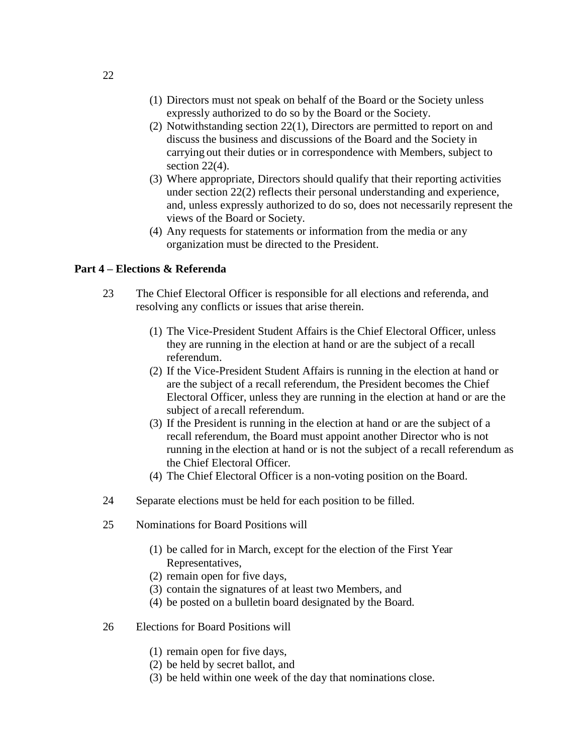- (1) Directors must not speak on behalf of the Board or the Society unless expressly authorized to do so by the Board or the Society.
- (2) Notwithstanding section 22(1), Directors are permitted to report on and discuss the business and discussions of the Board and the Society in carrying out their duties or in correspondence with Members, subject to section  $22(4)$ .
- (3) Where appropriate, Directors should qualify that their reporting activities under section 22(2) reflects their personal understanding and experience, and, unless expressly authorized to do so, does not necessarily represent the views of the Board or Society.
- (4) Any requests for statements or information from the media or any organization must be directed to the President.

#### **Part 4 – Elections & Referenda**

- 23 The Chief Electoral Officer is responsible for all elections and referenda, and resolving any conflicts or issues that arise therein.
	- (1) The Vice-President Student Affairs is the Chief Electoral Officer, unless they are running in the election at hand or are the subject of a recall referendum.
	- (2) If the Vice-President Student Affairs is running in the election at hand or are the subject of a recall referendum, the President becomes the Chief Electoral Officer, unless they are running in the election at hand or are the subject of a recall referendum.
	- (3) If the President is running in the election at hand or are the subject of a recall referendum, the Board must appoint another Director who is not running in the election at hand or is not the subject of a recall referendum as the Chief Electoral Officer.
	- (4) The Chief Electoral Officer is a non-voting position on the Board.
- 24 Separate elections must be held for each position to be filled.
- 25 Nominations for Board Positions will
	- (1) be called for in March, except for the election of the First Year Representatives,
	- (2) remain open for five days,
	- (3) contain the signatures of at least two Members, and
	- (4) be posted on a bulletin board designated by the Board.
- 26 Elections for Board Positions will
	- (1) remain open for five days,
	- (2) be held by secret ballot, and
	- (3) be held within one week of the day that nominations close.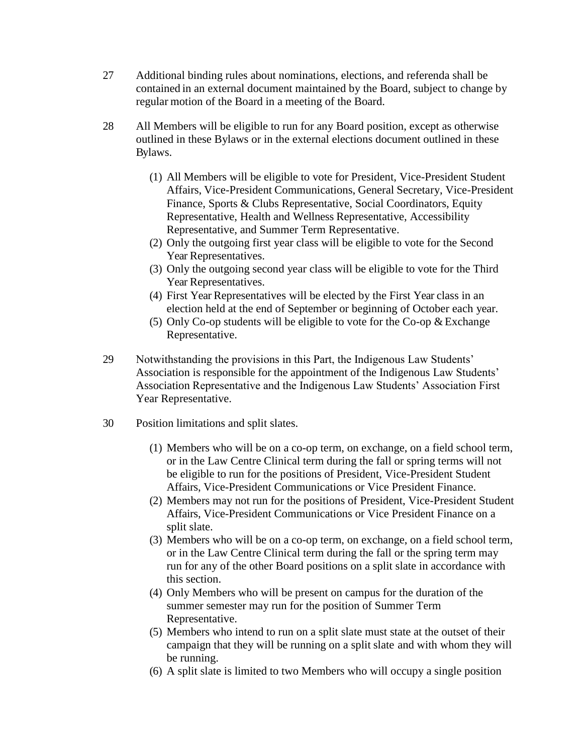- 27 Additional binding rules about nominations, elections, and referenda shall be contained in an external document maintained by the Board, subject to change by regular motion of the Board in a meeting of the Board.
- 28 All Members will be eligible to run for any Board position, except as otherwise outlined in these Bylaws or in the external elections document outlined in these Bylaws.
	- (1) All Members will be eligible to vote for President, Vice-President Student Affairs, Vice-President Communications, General Secretary, Vice-President Finance, Sports & Clubs Representative, Social Coordinators, Equity Representative, Health and Wellness Representative, Accessibility Representative, and Summer Term Representative.
	- (2) Only the outgoing first year class will be eligible to vote for the Second Year Representatives.
	- (3) Only the outgoing second year class will be eligible to vote for the Third Year Representatives.
	- (4) First Year Representatives will be elected by the First Year class in an election held at the end of September or beginning of October each year.
	- (5) Only Co-op students will be eligible to vote for the Co-op & Exchange Representative.
- 29 Notwithstanding the provisions in this Part, the Indigenous Law Students' Association is responsible for the appointment of the Indigenous Law Students' Association Representative and the Indigenous Law Students' Association First Year Representative.
- 30 Position limitations and split slates.
	- (1) Members who will be on a co-op term, on exchange, on a field school term, or in the Law Centre Clinical term during the fall or spring terms will not be eligible to run for the positions of President, Vice-President Student Affairs, Vice-President Communications or Vice President Finance.
	- (2) Members may not run for the positions of President, Vice-President Student Affairs, Vice-President Communications or Vice President Finance on a split slate.
	- (3) Members who will be on a co-op term, on exchange, on a field school term, or in the Law Centre Clinical term during the fall or the spring term may run for any of the other Board positions on a split slate in accordance with this section.
	- (4) Only Members who will be present on campus for the duration of the summer semester may run for the position of Summer Term Representative.
	- (5) Members who intend to run on a split slate must state at the outset of their campaign that they will be running on a split slate and with whom they will be running.
	- (6) A split slate is limited to two Members who will occupy a single position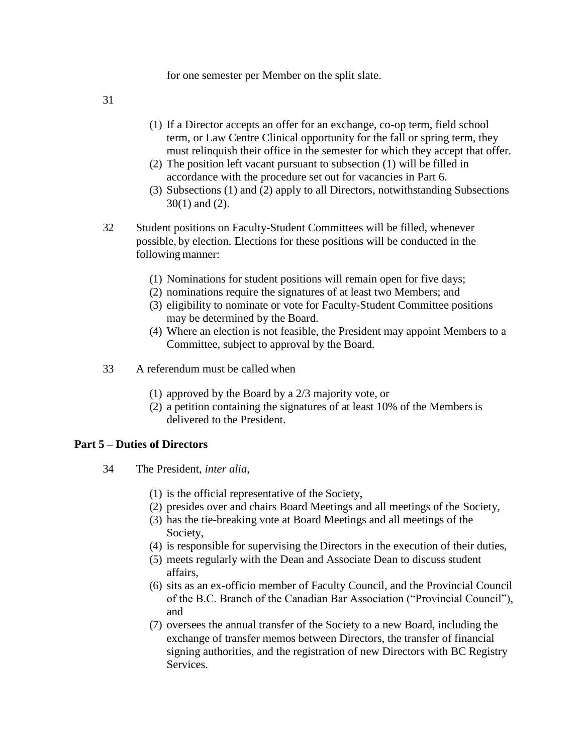for one semester per Member on the split slate.

31

- (1) If a Director accepts an offer for an exchange, co-op term, field school term, or Law Centre Clinical opportunity for the fall or spring term, they must relinquish their office in the semester for which they accept that offer.
- (2) The position left vacant pursuant to subsection (1) will be filled in accordance with the procedure set out for vacancies in Part 6.
- (3) Subsections (1) and (2) apply to all Directors, notwithstanding Subsections 30(1) and (2).
- 32 Student positions on Faculty-Student Committees will be filled, whenever possible, by election. Elections for these positions will be conducted in the following manner:
	- (1) Nominations for student positions will remain open for five days;
	- (2) nominations require the signatures of at least two Members; and
	- (3) eligibility to nominate or vote for Faculty-Student Committee positions may be determined by the Board.
	- (4) Where an election is not feasible, the President may appoint Members to a Committee, subject to approval by the Board.
- 33 A referendum must be called when
	- (1) approved by the Board by a 2/3 majority vote, or
	- (2) a petition containing the signatures of at least 10% of the Membersis delivered to the President.

### **Part 5 – Duties of Directors**

- 34 The President, *inter alia*,
	- (1) is the official representative of the Society,
	- (2) presides over and chairs Board Meetings and all meetings of the Society,
	- (3) has the tie-breaking vote at Board Meetings and all meetings of the Society,
	- (4) is responsible for supervising the Directors in the execution of their duties,
	- (5) meets regularly with the Dean and Associate Dean to discuss student affairs,
	- (6) sits as an ex-officio member of Faculty Council, and the Provincial Council of the B.C. Branch of the Canadian Bar Association ("Provincial Council"), and
	- (7) oversees the annual transfer of the Society to a new Board, including the exchange of transfer memos between Directors, the transfer of financial signing authorities, and the registration of new Directors with BC Registry Services.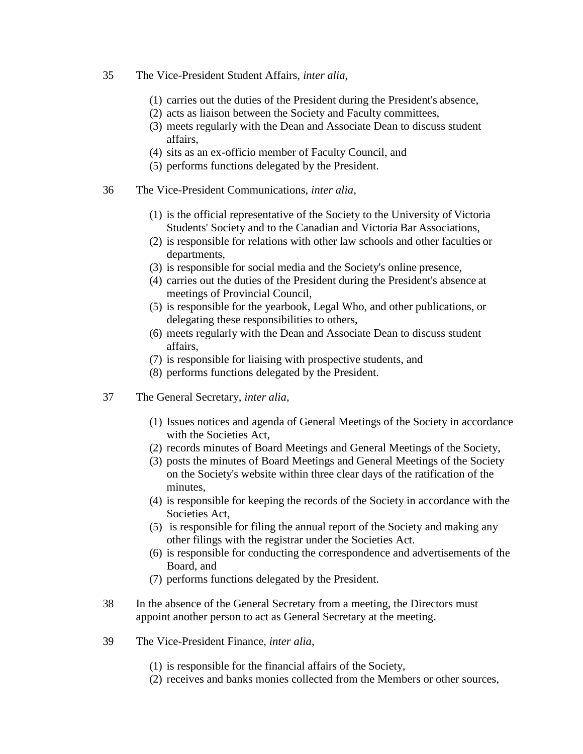- 35 The Vice-President Student Affairs, *inter alia*,
	- (1) carries out the duties of the President during the President's absence,
	- (2) acts as liaison between the Society and Faculty committees,
	- (3) meets regularly with the Dean and Associate Dean to discuss student affairs,
	- (4) sits as an ex-officio member of Faculty Council, and
	- (5) performs functions delegated by the President.
- 36 The Vice-President Communications, *inter alia*,
	- (1) is the official representative of the Society to the University of Victoria Students' Society and to the Canadian and Victoria Bar Associations,
	- (2) is responsible for relations with other law schools and other faculties or departments,
	- (3) is responsible for social media and the Society's online presence,
	- (4) carries out the duties of the President during the President's absence at meetings of Provincial Council,
	- (5) is responsible for the yearbook, Legal Who, and other publications, or delegating these responsibilities to others,
	- (6) meets regularly with the Dean and Associate Dean to discuss student affairs,
	- (7) is responsible for liaising with prospective students, and
	- (8) performs functions delegated by the President.
- 37 The General Secretary, *inter alia*,
	- (1) Issues notices and agenda of General Meetings of the Society in accordance with the Societies Act,
	- (2) records minutes of Board Meetings and General Meetings of the Society,
	- (3) posts the minutes of Board Meetings and General Meetings of the Society on the Society's website within three clear days of the ratification of the minutes,
	- (4) is responsible for keeping the records of the Society in accordance with the Societies Act,
	- (5) is responsible for filing the annual report of the Society and making any other filings with the registrar under the Societies Act.
	- (6) is responsible for conducting the correspondence and advertisements of the Board, and
	- (7) performs functions delegated by the President.
- 38 In the absence of the General Secretary from a meeting, the Directors must appoint another person to act as General Secretary at the meeting.
- 39 The Vice-President Finance, *inter alia*,
	- (1) is responsible for the financial affairs of the Society,
	- (2) receives and banks monies collected from the Members or other sources,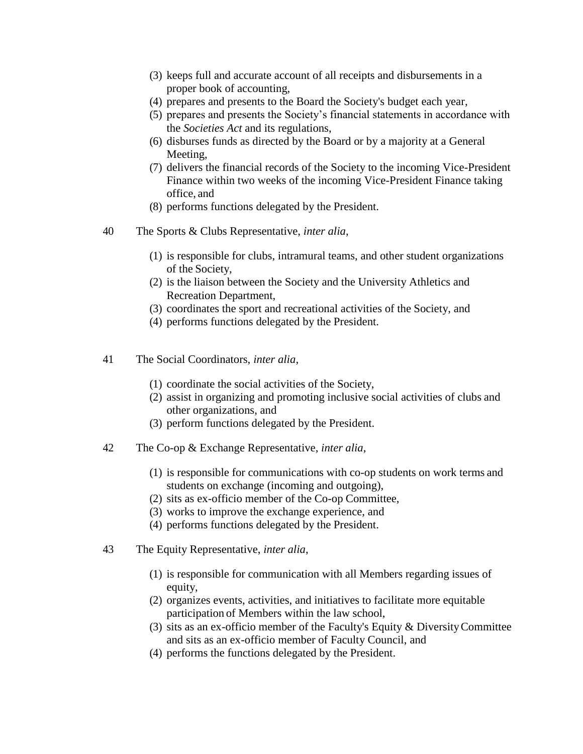- (3) keeps full and accurate account of all receipts and disbursements in a proper book of accounting,
- (4) prepares and presents to the Board the Society's budget each year,
- (5) prepares and presents the Society's financial statements in accordance with the *Societies Act* and its regulations,
- (6) disburses funds as directed by the Board or by a majority at a General Meeting,
- (7) delivers the financial records of the Society to the incoming Vice-President Finance within two weeks of the incoming Vice-President Finance taking office, and
- (8) performs functions delegated by the President.
- 40 The Sports & Clubs Representative, *inter alia*,
	- (1) is responsible for clubs, intramural teams, and other student organizations of the Society,
	- (2) is the liaison between the Society and the University Athletics and Recreation Department,
	- (3) coordinates the sport and recreational activities of the Society, and
	- (4) performs functions delegated by the President.
- 41 The Social Coordinators, *inter alia*,
	- (1) coordinate the social activities of the Society,
	- (2) assist in organizing and promoting inclusive social activities of clubs and other organizations, and
	- (3) perform functions delegated by the President.
- 42 The Co-op & Exchange Representative, *inter alia*,
	- (1) is responsible for communications with co-op students on work terms and students on exchange (incoming and outgoing),
	- (2) sits as ex-officio member of the Co-op Committee,
	- (3) works to improve the exchange experience, and
	- (4) performs functions delegated by the President.
- 43 The Equity Representative, *inter alia*,
	- (1) is responsible for communication with all Members regarding issues of equity,
	- (2) organizes events, activities, and initiatives to facilitate more equitable participation of Members within the law school,
	- (3) sits as an ex-officio member of the Faculty's Equity & DiversityCommittee and sits as an ex-officio member of Faculty Council, and
	- (4) performs the functions delegated by the President.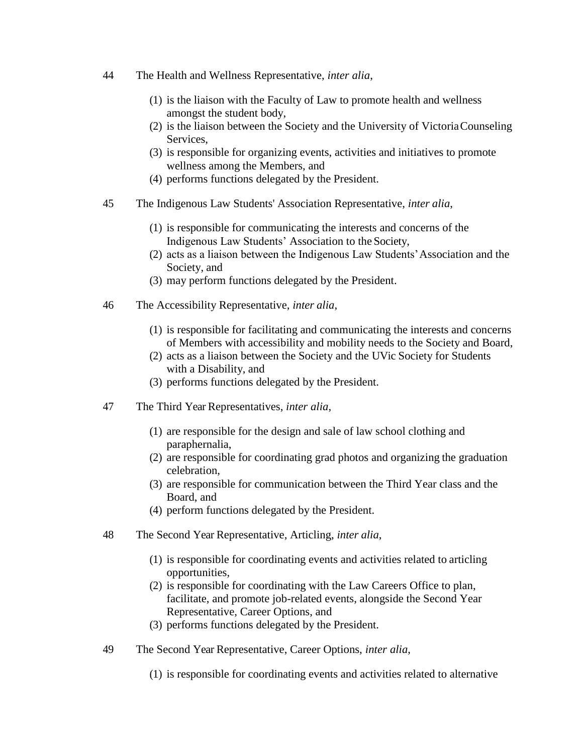- 44 The Health and Wellness Representative, *inter alia*,
	- (1) is the liaison with the Faculty of Law to promote health and wellness amongst the student body,
	- (2) is the liaison between the Society and the University of VictoriaCounseling Services,
	- (3) is responsible for organizing events, activities and initiatives to promote wellness among the Members, and
	- (4) performs functions delegated by the President.
- 45 The Indigenous Law Students' Association Representative, *inter alia*,
	- (1) is responsible for communicating the interests and concerns of the Indigenous Law Students' Association to the Society,
	- (2) acts as a liaison between the Indigenous Law Students'Association and the Society, and
	- (3) may perform functions delegated by the President.
- 46 The Accessibility Representative, *inter alia*,
	- (1) is responsible for facilitating and communicating the interests and concerns of Members with accessibility and mobility needs to the Society and Board,
	- (2) acts as a liaison between the Society and the UVic Society for Students with a Disability, and
	- (3) performs functions delegated by the President.
- 47 The Third Year Representatives, *inter alia*,
	- (1) are responsible for the design and sale of law school clothing and paraphernalia,
	- (2) are responsible for coordinating grad photos and organizing the graduation celebration,
	- (3) are responsible for communication between the Third Year class and the Board, and
	- (4) perform functions delegated by the President.
- 48 The Second Year Representative, Articling, *inter alia*,
	- (1) is responsible for coordinating events and activities related to articling opportunities,
	- (2) is responsible for coordinating with the Law Careers Office to plan, facilitate, and promote job-related events, alongside the Second Year Representative, Career Options, and
	- (3) performs functions delegated by the President.
- 49 The Second Year Representative, Career Options, *inter alia*,
	- (1) is responsible for coordinating events and activities related to alternative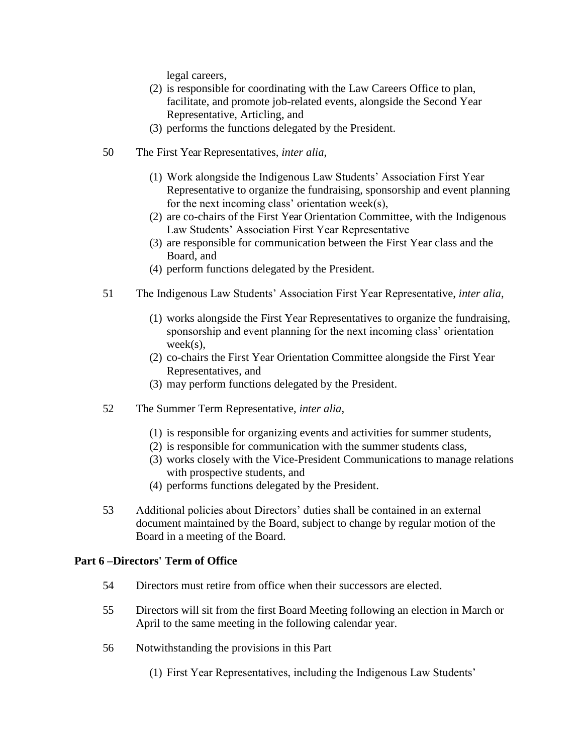legal careers,

- (2) is responsible for coordinating with the Law Careers Office to plan, facilitate, and promote job-related events, alongside the Second Year Representative, Articling, and
- (3) performs the functions delegated by the President.
- 50 The First Year Representatives, *inter alia*,
	- (1) Work alongside the Indigenous Law Students' Association First Year Representative to organize the fundraising, sponsorship and event planning for the next incoming class' orientation week(s),
	- (2) are co-chairs of the First Year Orientation Committee, with the Indigenous Law Students' Association First Year Representative
	- (3) are responsible for communication between the First Year class and the Board, and
	- (4) perform functions delegated by the President.
- 51 The Indigenous Law Students' Association First Year Representative, *inter alia*,
	- (1) works alongside the First Year Representatives to organize the fundraising, sponsorship and event planning for the next incoming class' orientation week(s),
	- (2) co-chairs the First Year Orientation Committee alongside the First Year Representatives, and
	- (3) may perform functions delegated by the President.
- 52 The Summer Term Representative, *inter alia*,
	- (1) is responsible for organizing events and activities for summer students,
	- (2) is responsible for communication with the summer students class,
	- (3) works closely with the Vice-President Communications to manage relations with prospective students, and
	- (4) performs functions delegated by the President.
- 53 Additional policies about Directors' duties shall be contained in an external document maintained by the Board, subject to change by regular motion of the Board in a meeting of the Board.

## **Part 6 –Directors' Term of Office**

- 54 Directors must retire from office when their successors are elected.
- 55 Directors will sit from the first Board Meeting following an election in March or April to the same meeting in the following calendar year.
- 56 Notwithstanding the provisions in this Part
	- (1) First Year Representatives, including the Indigenous Law Students'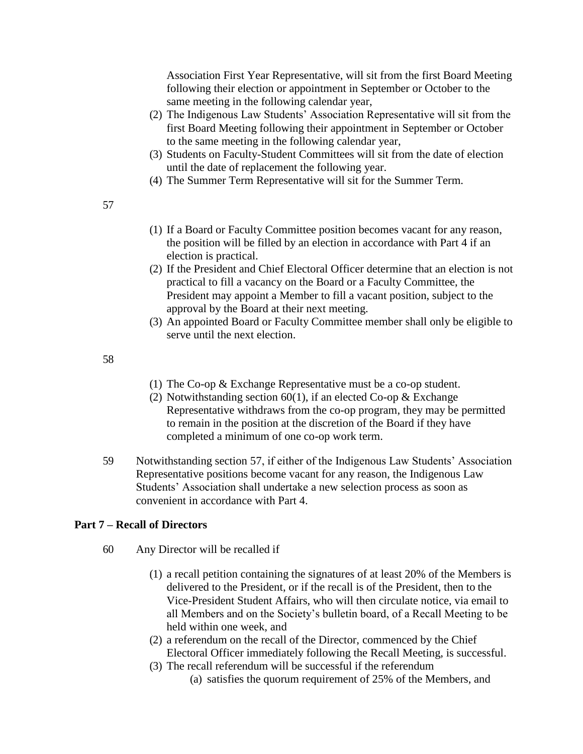Association First Year Representative, will sit from the first Board Meeting following their election or appointment in September or October to the same meeting in the following calendar year,

- (2) The Indigenous Law Students' Association Representative will sit from the first Board Meeting following their appointment in September or October to the same meeting in the following calendar year,
- (3) Students on Faculty-Student Committees will sit from the date of election until the date of replacement the following year.
- (4) The Summer Term Representative will sit for the Summer Term.
- 57
- (1) If a Board or Faculty Committee position becomes vacant for any reason, the position will be filled by an election in accordance with Part 4 if an election is practical.
- (2) If the President and Chief Electoral Officer determine that an election is not practical to fill a vacancy on the Board or a Faculty Committee, the President may appoint a Member to fill a vacant position, subject to the approval by the Board at their next meeting.
- (3) An appointed Board or Faculty Committee member shall only be eligible to serve until the next election.

58

- (1) The Co-op & Exchange Representative must be a co-op student.
- (2) Notwithstanding section 60(1), if an elected Co-op  $&$  Exchange Representative withdraws from the co-op program, they may be permitted to remain in the position at the discretion of the Board if they have completed a minimum of one co-op work term.
- 59 Notwithstanding section 57, if either of the Indigenous Law Students' Association Representative positions become vacant for any reason, the Indigenous Law Students' Association shall undertake a new selection process as soon as convenient in accordance with Part 4.

### **Part 7 – Recall of Directors**

- 60 Any Director will be recalled if
	- (1) a recall petition containing the signatures of at least 20% of the Members is delivered to the President, or if the recall is of the President, then to the Vice-President Student Affairs, who will then circulate notice, via email to all Members and on the Society's bulletin board, of a Recall Meeting to be held within one week, and
	- (2) a referendum on the recall of the Director, commenced by the Chief Electoral Officer immediately following the Recall Meeting, is successful.
	- (3) The recall referendum will be successful if the referendum (a) satisfies the quorum requirement of 25% of the Members, and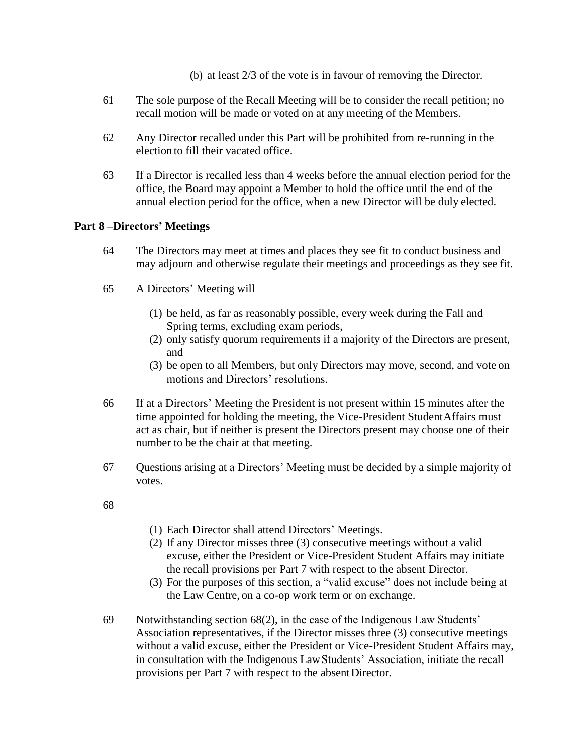- (b) at least 2/3 of the vote is in favour of removing the Director.
- 61 The sole purpose of the Recall Meeting will be to consider the recall petition; no recall motion will be made or voted on at any meeting of the Members.
- 62 Any Director recalled under this Part will be prohibited from re-running in the election to fill their vacated office.
- 63 If a Director is recalled less than 4 weeks before the annual election period for the office, the Board may appoint a Member to hold the office until the end of the annual election period for the office, when a new Director will be duly elected.

### **Part 8 –Directors' Meetings**

- 64 The Directors may meet at times and places they see fit to conduct business and may adjourn and otherwise regulate their meetings and proceedings as they see fit.
- 65 A Directors' Meeting will
	- (1) be held, as far as reasonably possible, every week during the Fall and Spring terms, excluding exam periods,
	- (2) only satisfy quorum requirements if a majority of the Directors are present, and
	- (3) be open to all Members, but only Directors may move, second, and vote on motions and Directors' resolutions.
- 66 If at a Directors' Meeting the President is not present within 15 minutes after the time appointed for holding the meeting, the Vice-President StudentAffairs must act as chair, but if neither is present the Directors present may choose one of their number to be the chair at that meeting.
- 67 Questions arising at a Directors' Meeting must be decided by a simple majority of votes.
- 68
- (1) Each Director shall attend Directors' Meetings.
- (2) If any Director misses three (3) consecutive meetings without a valid excuse, either the President or Vice-President Student Affairs may initiate the recall provisions per Part 7 with respect to the absent Director.
- (3) For the purposes of this section, a "valid excuse" does not include being at the Law Centre, on a co-op work term or on exchange.
- 69 Notwithstanding section 68(2), in the case of the Indigenous Law Students' Association representatives, if the Director misses three (3) consecutive meetings without a valid excuse, either the President or Vice-President Student Affairs may, in consultation with the Indigenous LawStudents' Association, initiate the recall provisions per Part 7 with respect to the absentDirector.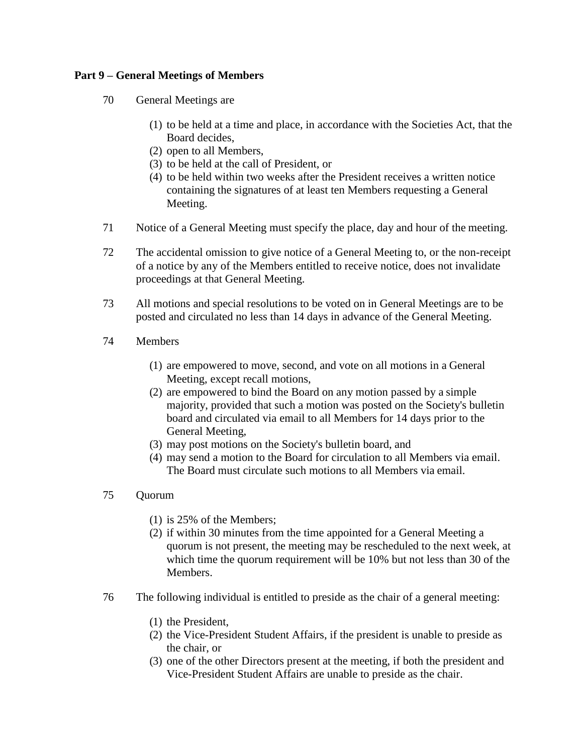### **Part 9 – General Meetings of Members**

- 70 General Meetings are
	- (1) to be held at a time and place, in accordance with the Societies Act, that the Board decides,
	- (2) open to all Members,
	- (3) to be held at the call of President, or
	- (4) to be held within two weeks after the President receives a written notice containing the signatures of at least ten Members requesting a General Meeting.
- 71 Notice of a General Meeting must specify the place, day and hour of the meeting.
- 72 The accidental omission to give notice of a General Meeting to, or the non-receipt of a notice by any of the Members entitled to receive notice, does not invalidate proceedings at that General Meeting.
- 73 All motions and special resolutions to be voted on in General Meetings are to be posted and circulated no less than 14 days in advance of the General Meeting.
- 74 Members
	- (1) are empowered to move, second, and vote on all motions in a General Meeting, except recall motions,
	- (2) are empowered to bind the Board on any motion passed by a simple majority, provided that such a motion was posted on the Society's bulletin board and circulated via email to all Members for 14 days prior to the General Meeting,
	- (3) may post motions on the Society's bulletin board, and
	- (4) may send a motion to the Board for circulation to all Members via email. The Board must circulate such motions to all Members via email.

### 75 Quorum

- (1) is 25% of the Members;
- (2) if within 30 minutes from the time appointed for a General Meeting a quorum is not present, the meeting may be rescheduled to the next week, at which time the quorum requirement will be 10% but not less than 30 of the Members.
- 76 The following individual is entitled to preside as the chair of a general meeting:
	- (1) the President,
	- (2) the Vice-President Student Affairs, if the president is unable to preside as the chair, or
	- (3) one of the other Directors present at the meeting, if both the president and Vice-President Student Affairs are unable to preside as the chair.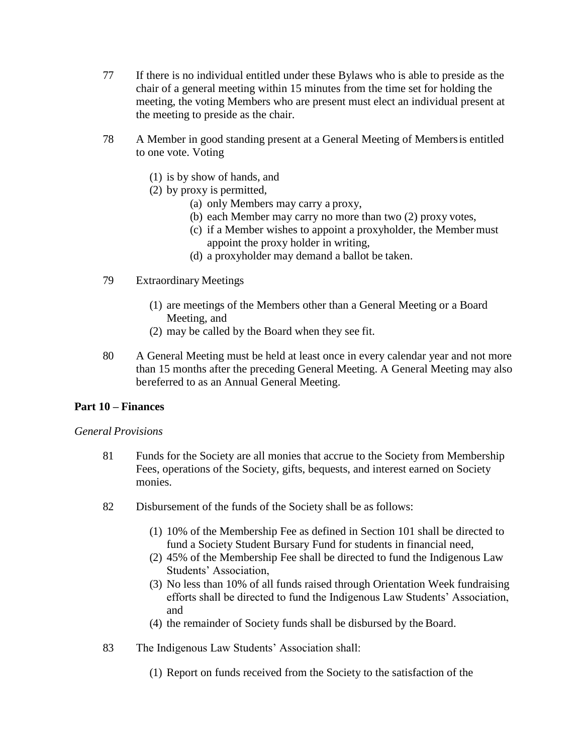- 77 If there is no individual entitled under these Bylaws who is able to preside as the chair of a general meeting within 15 minutes from the time set for holding the meeting, the voting Members who are present must elect an individual present at the meeting to preside as the chair.
- 78 A Member in good standing present at a General Meeting of Membersis entitled to one vote. Voting
	- (1) is by show of hands, and
	- (2) by proxy is permitted,
		- (a) only Members may carry a proxy,
		- (b) each Member may carry no more than two (2) proxy votes,
		- (c) if a Member wishes to appoint a proxyholder, the Member must appoint the proxy holder in writing,
		- (d) a proxyholder may demand a ballot be taken.
- 79 Extraordinary Meetings
	- (1) are meetings of the Members other than a General Meeting or a Board Meeting, and
	- (2) may be called by the Board when they see fit.
- 80 A General Meeting must be held at least once in every calendar year and not more than 15 months after the preceding General Meeting. A General Meeting may also bereferred to as an Annual General Meeting.

## **Part 10 – Finances**

### *General Provisions*

- 81 Funds for the Society are all monies that accrue to the Society from Membership Fees, operations of the Society, gifts, bequests, and interest earned on Society monies.
- 82 Disbursement of the funds of the Society shall be as follows:
	- (1) 10% of the Membership Fee as defined in Section 101 shall be directed to fund a Society Student Bursary Fund for students in financial need,
	- (2) 45% of the Membership Fee shall be directed to fund the Indigenous Law Students' Association,
	- (3) No less than 10% of all funds raised through Orientation Week fundraising efforts shall be directed to fund the Indigenous Law Students' Association, and
	- (4) the remainder of Society funds shall be disbursed by the Board.
- 83 The Indigenous Law Students' Association shall:
	- (1) Report on funds received from the Society to the satisfaction of the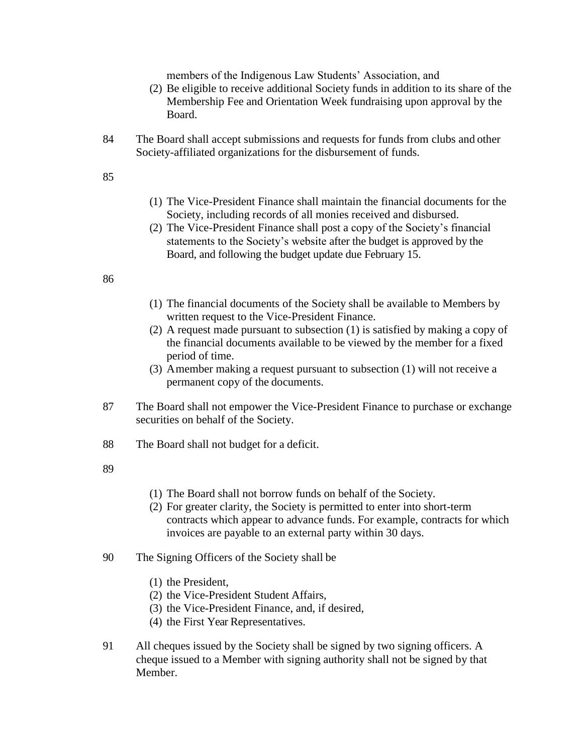members of the Indigenous Law Students' Association, and

- (2) Be eligible to receive additional Society funds in addition to its share of the Membership Fee and Orientation Week fundraising upon approval by the Board.
- 84 The Board shall accept submissions and requests for funds from clubs and other Society-affiliated organizations for the disbursement of funds.

#### 85

- (1) The Vice-President Finance shall maintain the financial documents for the Society, including records of all monies received and disbursed.
- (2) The Vice-President Finance shall post a copy of the Society's financial statements to the Society's website after the budget is approved by the Board, and following the budget update due February 15.

### 86

- (1) The financial documents of the Society shall be available to Members by written request to the Vice-President Finance.
- (2) A request made pursuant to subsection (1) is satisfied by making a copy of the financial documents available to be viewed by the member for a fixed period of time.
- (3) A member making a request pursuant to subsection (1) will not receive a permanent copy of the documents.
- 87 The Board shall not empower the Vice-President Finance to purchase or exchange securities on behalf of the Society.
- 88 The Board shall not budget for a deficit.
- 89
- (1) The Board shall not borrow funds on behalf of the Society.
- (2) For greater clarity, the Society is permitted to enter into short-term contracts which appear to advance funds. For example, contracts for which invoices are payable to an external party within 30 days.
- 90 The Signing Officers of the Society shall be
	- (1) the President,
	- (2) the Vice-President Student Affairs,
	- (3) the Vice-President Finance, and, if desired,
	- (4) the First Year Representatives.
- 91 All cheques issued by the Society shall be signed by two signing officers. A cheque issued to a Member with signing authority shall not be signed by that Member.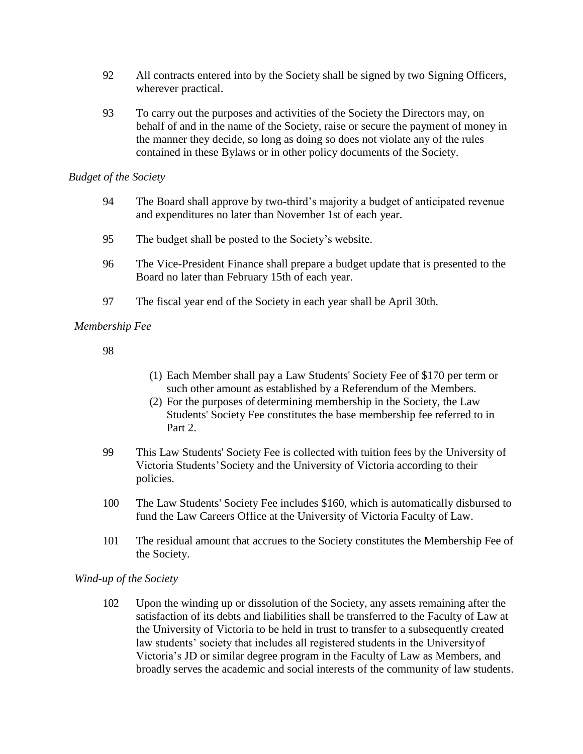- 92 All contracts entered into by the Society shall be signed by two Signing Officers, wherever practical.
- 93 To carry out the purposes and activities of the Society the Directors may, on behalf of and in the name of the Society, raise or secure the payment of money in the manner they decide, so long as doing so does not violate any of the rules contained in these Bylaws or in other policy documents of the Society.

### *Budget of the Society*

- 94 The Board shall approve by two-third's majority a budget of anticipated revenue and expenditures no later than November 1st of each year.
- 95 The budget shall be posted to the Society's website.
- 96 The Vice-President Finance shall prepare a budget update that is presented to the Board no later than February 15th of each year.
- 97 The fiscal year end of the Society in each year shall be April 30th.

## *Membership Fee*

98

- (1) Each Member shall pay a Law Students' Society Fee of \$170 per term or such other amount as established by a Referendum of the Members.
- (2) For the purposes of determining membership in the Society, the Law Students' Society Fee constitutes the base membership fee referred to in Part 2.
- 99 This Law Students' Society Fee is collected with tuition fees by the University of Victoria Students'Society and the University of Victoria according to their policies.
- 100 The Law Students' Society Fee includes \$160, which is automatically disbursed to fund the Law Careers Office at the University of Victoria Faculty of Law.
- 101 The residual amount that accrues to the Society constitutes the Membership Fee of the Society.

## *Wind-up of the Society*

102 Upon the winding up or dissolution of the Society, any assets remaining after the satisfaction of its debts and liabilities shall be transferred to the Faculty of Law at the University of Victoria to be held in trust to transfer to a subsequently created law students' society that includes all registered students in the Universityof Victoria's JD or similar degree program in the Faculty of Law as Members, and broadly serves the academic and social interests of the community of law students.